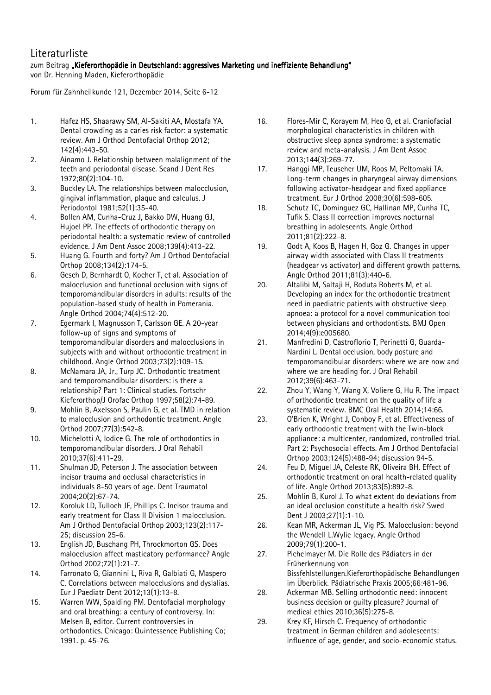## Literaturliste

## zum Beitrag "Kieferorthopädie in Deutschland: aggressives Marketing und ineffiziente Behandlung"

von Dr. Henning Maden, Kieferorthopädie

Forum für Zahnheilkunde 121, Dezember 2014, Seite 6-12

- 1. Hafez HS, Shaarawy SM, Al-Sakiti AA, Mostafa YA. Dental crowding as a caries risk factor: a systematic review. Am J Orthod Dentofacial Orthop 2012; 142(4):443-50.
- 2. Ainamo J. Relationship between malalignment of the teeth and periodontal disease. Scand J Dent Res 1972;80(2):104-10.
- 3. Buckley LA. The relationships between malocclusion, gingival inflammation, plaque and calculus. J Periodontol 1981;52(1):35-40.
- 4. Bollen AM, Cunha-Cruz J, Bakko DW, Huang GJ, Hujoel PP. The effects of orthodontic therapy on periodontal health: a systematic review of controlled evidence. J Am Dent Assoc 2008;139(4):413-22.
- 5. Huang G. Fourth and forty? Am J Orthod Dentofacial Orthop 2008;134(2):174-5.
- 6. Gesch D, Bernhardt O, Kocher T, et al. Association of malocclusion and functional occlusion with signs of temporomandibular disorders in adults: results of the population-based study of health in Pomerania. Angle Orthod 2004;74(4):512-20.
- 7. Egermark I, Magnusson T, Carlsson GE. A 20-year follow-up of signs and symptoms of temporomandibular disorders and malocclusions in subjects with and without orthodontic treatment in childhood. Angle Orthod 2003;73(2):109-15.
- 8. McNamara JA, Jr., Turp JC. Orthodontic treatment and temporomandibular disorders: is there a relationship? Part 1: Clinical studies. Fortschr Kieferorthop/J Orofac Orthop 1997;58(2):74-89.
- 9. Mohlin B, Axelsson S, Paulin G, et al. TMD in relation to malocclusion and orthodontic treatment. Angle Orthod 2007;77(3):542-8.
- 10. Michelotti A, Iodice G. The role of orthodontics in temporomandibular disorders. J Oral Rehabil 2010;37(6):411-29.
- 11. Shulman JD, Peterson J. The association between incisor trauma and occlusal characteristics in individuals 8-50 years of age. Dent Traumatol 2004;20(2):67-74.
- 12. Koroluk LD, Tulloch JF, Phillips C. Incisor trauma and early treatment for Class II Division 1 malocclusion. Am J Orthod Dentofacial Orthop 2003;123(2):117- 25; discussion 25-6.
- 13. English JD, Buschang PH, Throckmorton GS. Does malocclusion affect masticatory performance? Angle Orthod 2002;72(1):21-7.
- 14. Farronato G, Giannini L, Riva R, Galbiati G, Maspero C. Correlations between malocclusions and dyslalias. Eur J Paediatr Dent 2012;13(1):13-8.
- 15. Warren WW, Spalding PM. Dentofacial morphology and oral breathing: a century of controversy. In: Melsen B, editor. Current controversies in orthodontics. Chicago: Quintessence Publishing Co; 1991. p. 45-76.
- 16. Flores-Mir C, Korayem M, Heo G, et al. Craniofacial morphological characteristics in children with obstructive sleep apnea syndrome: a systematic review and meta-analysis. J Am Dent Assoc 2013;144(3):269-77.
- 17. Hanggi MP, Teuscher UM, Roos M, Peltomaki TA. Long-term changes in pharyngeal airway dimensions following activator-headgear and fixed appliance treatment. Eur J Orthod 2008;30(6):598-605.
- 18. Schutz TC, Dominguez GC, Hallinan MP, Cunha TC, Tufik S. Class II correction improves nocturnal breathing in adolescents. Angle Orthod 2011;81(2):222-8.
- 19. Godt A, Koos B, Hagen H, Goz G. Changes in upper airway width associated with Class II treatments (headgear vs activator) and different growth patterns. Angle Orthod 2011;81(3):440-6.
- 20. Altalibi M, Saltaji H, Roduta Roberts M, et al. Developing an index for the orthodontic treatment need in paediatric patients with obstructive sleep apnoea: a protocol for a novel communication tool between physicians and orthodontists. BMJ Open 2014;4(9):e005680.
- 21. Manfredini D, Castroflorio T, Perinetti G, Guarda-Nardini L. Dental occlusion, body posture and temporomandibular disorders: where we are now and where we are heading for. J Oral Rehabil 2012;39(6):463-71.
- 22. Zhou Y, Wang Y, Wang X, Voliere G, Hu R. The impact of orthodontic treatment on the quality of life a systematic review. BMC Oral Health 2014;14:66.
- 23. O'Brien K, Wright J, Conboy F, et al. Effectiveness of early orthodontic treatment with the Twin-block appliance: a multicenter, randomized, controlled trial. Part 2: Psychosocial effects. Am J Orthod Dentofacial Orthop 2003;124(5):488-94; discussion 94-5.
- 24. Feu D, Miguel JA, Celeste RK, Oliveira BH. Effect of orthodontic treatment on oral health-related quality of life. Angle Orthod 2013;83(5):892-8.
- 25. Mohlin B, Kurol J. To what extent do deviations from an ideal occlusion constitute a health risk? Swed Dent J 2003;27(1):1-10.
- 26. Kean MR, Ackerman JL, Vig PS. Malocclusion: beyond the Wendell L.Wylie legacy. Angle Orthod 2009;79(1):200-1.
- 27. Pichelmayer M. Die Rolle des Pädiaters in der Früherkennung von Bissfehlstellungen.Kieferorthopädische Behandlungen im Überblick. Pädiatrische Praxis 2005;66:481-96.
- 28. Ackerman MB. Selling orthodontic need: innocent business decision or guilty pleasure? Journal of medical ethics 2010;36(5):275-8.
- 29. Krey KF, Hirsch C. Frequency of orthodontic treatment in German children and adolescents: influence of age, gender, and socio-economic status.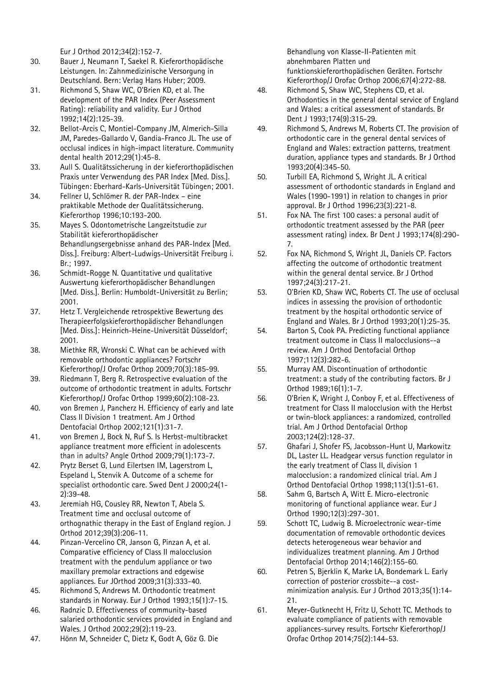Eur J Orthod 2012;34(2):152-7.

- 30. Bauer J, Neumann T, Saekel R. Kieferorthopädische Leistungen. In: Zahnmedizinische Versorgung in Deutschland. Bern: Verlag Hans Huber; 2009.
- 31. Richmond S, Shaw WC, O'Brien KD, et al. The development of the PAR Index (Peer Assessment Rating): reliability and validity. Eur J Orthod 1992;14(2):125-39.
- 32. Bellot-Arcis C, Montiel-Company JM, Almerich-Silla JM, Paredes-Gallardo V, Gandia-Franco JL. The use of occlusal indices in high-impact literature. Community dental health 2012;29(1):45-8.
- 33. Aull S. Qualitätssicherung in der kieferorthopädischen Praxis unter Verwendung des PAR Index [Med. Diss.]. Tübingen: Eberhard-Karls-Universität Tübingen; 2001.
- 34. Fellner U, Schlömer R. der PAR-Index eine praktikable Methode der Qualitätssicherung. Kieferorthop 1996;10:193-200.
- 35. Mayes S. Odontometrische Langzeitstudie zur Stabilität kieferorthopädischer Behandlungsergebnisse anhand des PAR-Index [Med. Diss.]. Freiburg: Albert-Ludwigs-Universität Freiburg i. Br.; 1997.
- 36. Schmidt-Rogge N. Quantitative und qualitative Auswertung kieferorthopädischer Behandlungen [Med. Diss.]. Berlin: Humboldt-Universität zu Berlin; 2001.
- 37. Hetz T. Vergleichende retrospektive Bewertung des Therapieerfolgskieferorthopädischer Behandlungen [Med. Diss.]: Heinrich-Heine-Universität Düsseldorf; 2001.
- 38. Miethke RR, Wronski C. What can be achieved with removable orthodontic appliances? Fortschr Kieferorthop/J Orofac Orthop 2009;70(3):185-99.
- 39. Riedmann T, Berg R. Retrospective evaluation of the outcome of orthodontic treatment in adults. Fortschr Kieferorthop/J Orofac Orthop 1999;60(2):108-23.
- 40. von Bremen J, Pancherz H. Efficiency of early and late Class II Division 1 treatment. Am J Orthod Dentofacial Orthop 2002;121(1):31-7.
- 41. von Bremen J, Bock N, Ruf S. Is Herbst-multibracket appliance treatment more efficient in adolescents than in adults? Angle Orthod 2009;79(1):173-7.
- 42. Prytz Berset G, Lund Eilertsen IM, Lagerstrom L, Espeland L, Stenvik A. Outcome of a scheme for specialist orthodontic care. Swed Dent J 2000;24(1- 2):39-48.
- 43. Jeremiah HG, Cousley RR, Newton T, Abela S. Treatment time and occlusal outcome of orthognathic therapy in the East of England region. J Orthod 2012;39(3):206-11.
- 44. Pinzan-Vercelino CR, Janson G, Pinzan A, et al. Comparative efficiency of Class II malocclusion treatment with the pendulum appliance or two maxillary premolar extractions and edgewise appliances. Eur JOrthod 2009;31(3):333-40.
- 45. Richmond S, Andrews M. Orthodontic treatment standards in Norway. Eur J Orthod 1993;15(1):7-15.
- 46. Radnzic D. Effectiveness of community-based salaried orthodontic services provided in England and Wales. J Orthod 2002;29(2):119-23.
- 47. Hönn M, Schneider C, Dietz K, Godt A, Göz G. Die

Behandlung von Klasse-II-Patienten mit abnehmbaren Platten und funktionskieferorthopädischen Geräten. Fortschr Kieferorthop/J Orofac Orthop 2006;67(4):272-88.

- 48. Richmond S, Shaw WC, Stephens CD, et al. Orthodontics in the general dental service of England and Wales: a critical assessment of standards. Br Dent J 1993;174(9):315-29.
- 49. Richmond S, Andrews M, Roberts CT. The provision of orthodontic care in the general dental services of England and Wales: extraction patterns, treatment duration, appliance types and standards. Br J Orthod 1993;20(4):345-50.
- 50. Turbill EA, Richmond S, Wright JL. A critical assessment of orthodontic standards in England and Wales (1990-1991) in relation to changes in prior approval. Br J Orthod 1996;23(3):221-8.
- 51. Fox NA. The first 100 cases: a personal audit of orthodontic treatment assessed by the PAR (peer assessment rating) index. Br Dent J 1993;174(8):290- 7.
- 52. Fox NA, Richmond S, Wright JL, Daniels CP. Factors affecting the outcome of orthodontic treatment within the general dental service. Br J Orthod 1997;24(3):217-21.
- 53. O'Brien KD, Shaw WC, Roberts CT. The use of occlusal indices in assessing the provision of orthodontic treatment by the hospital orthodontic service of England and Wales. Br J Orthod 1993;20(1):25-35.
- 54. Barton S, Cook PA. Predicting functional appliance treatment outcome in Class II malocclusions--a review. Am J Orthod Dentofacial Orthop 1997;112(3):282-6.
- 55. Murray AM. Discontinuation of orthodontic treatment: a study of the contributing factors. Br J Orthod 1989;16(1):1-7.
- 56. O'Brien K, Wright J, Conboy F, et al. Effectiveness of treatment for Class II malocclusion with the Herbst or twin-block appliances: a randomized, controlled trial. Am J Orthod Dentofacial Orthop 2003;124(2):128-37.
- 57. Ghafari J, Shofer FS, Jacobsson-Hunt U, Markowitz DL, Laster LL. Headgear versus function regulator in the early treatment of Class II, division 1 malocclusion: a randomized clinical trial. Am J Orthod Dentofacial Orthop 1998;113(1):51-61.
- 58. Sahm G, Bartsch A, Witt E. Micro-electronic monitoring of functional appliance wear. Eur J Orthod 1990;12(3):297-301.
- 59. Schott TC, Ludwig B. Microelectronic wear-time documentation of removable orthodontic devices detects heterogeneous wear behavior and individualizes treatment planning. Am J Orthod Dentofacial Orthop 2014;146(2):155-60.
- 60. Petren S, Bjerklin K, Marke LA, Bondemark L. Early correction of posterior crossbite--a costminimization analysis. Eur J Orthod 2013;35(1):14- 21.
- 61. Meyer-Gutknecht H, Fritz U, Schott TC. Methods to evaluate compliance of patients with removable appliances-survey results. Fortschr Kieferorthop/J Orofac Orthop 2014;75(2):144-53.